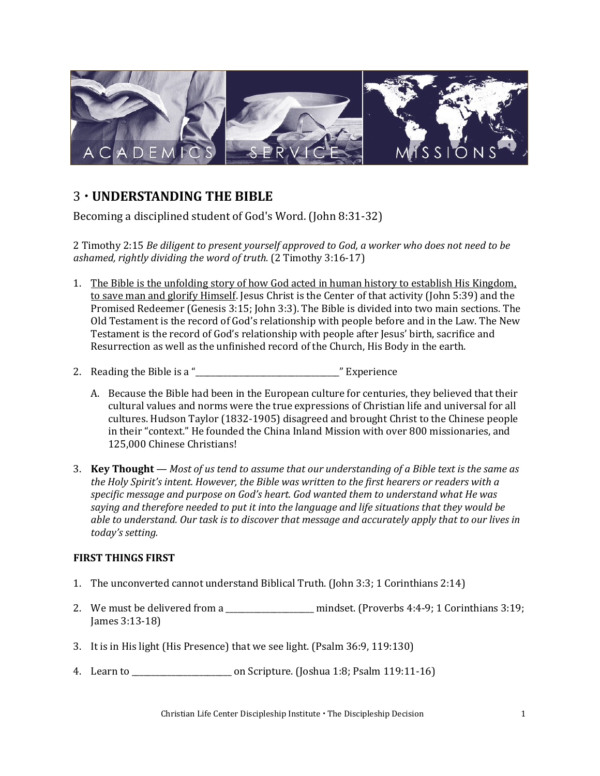

## 3 **UNDERSTANDING THE BIBLE**

Becoming a disciplined student of God's Word. (John 8:31-32)

2 Timothy 2:15 *Be diligent to present yourself approved to God, a worker who does not need to be ashamed, rightly dividing the word of truth.* (2 Timothy 3:16-17)

- 1. The Bible is the unfolding story of how God acted in human history to establish His Kingdom, to save man and glorify Himself. Jesus Christ is the Center of that activity (John 5:39) and the Promised Redeemer (Genesis 3:15; John 3:3). The Bible is divided into two main sections. The Old Testament is the record of God's relationship with people before and in the Law. The New Testament is the record of God's relationship with people after Jesus' birth, sacrifice and Resurrection as well as the unfinished record of the Church, His Body in the earth.
- 2. Reading the Bible is a "\_\_\_\_\_\_\_\_\_\_\_\_\_\_\_\_\_\_\_\_\_\_\_\_\_\_\_\_\_\_\_\_\_\_\_\_" Experience
	- A. Because the Bible had been in the European culture for centuries, they believed that their cultural values and norms were the true expressions of Christian life and universal for all cultures. Hudson Taylor (1832-1905) disagreed and brought Christ to the Chinese people in their "context." He founded the China Inland Mission with over 800 missionaries, and 125,000 Chinese Christians!
- 3. **Key Thought**  *Most of us tend to assume that our understanding of a Bible text is the same as the Holy Spirit's intent. However, the Bible was written to the first hearers or readers with a specific message and purpose on God's heart. God wanted them to understand what He was saying and therefore needed to put it into the language and life situations that they would be able to understand. Our task is to discover that message and accurately apply that to our lives in today's setting.*

## **FIRST THINGS FIRST**

- 1. The unconverted cannot understand Biblical Truth. (John 3:3; 1 Corinthians 2:14)
- 2. We must be delivered from a \_\_\_\_\_\_\_\_\_\_\_\_\_\_\_\_\_\_\_\_ mindset. (Proverbs 4:4-9; 1 Corinthians 3:19; James 3:13-18)
- 3. It is in His light (His Presence) that we see light. (Psalm 36:9, 119:130)
- 4. Learn to \_\_\_\_\_\_\_\_\_\_\_\_\_\_\_\_\_\_\_\_\_\_\_\_\_ on Scripture. (Joshua 1:8; Psalm 119:11-16)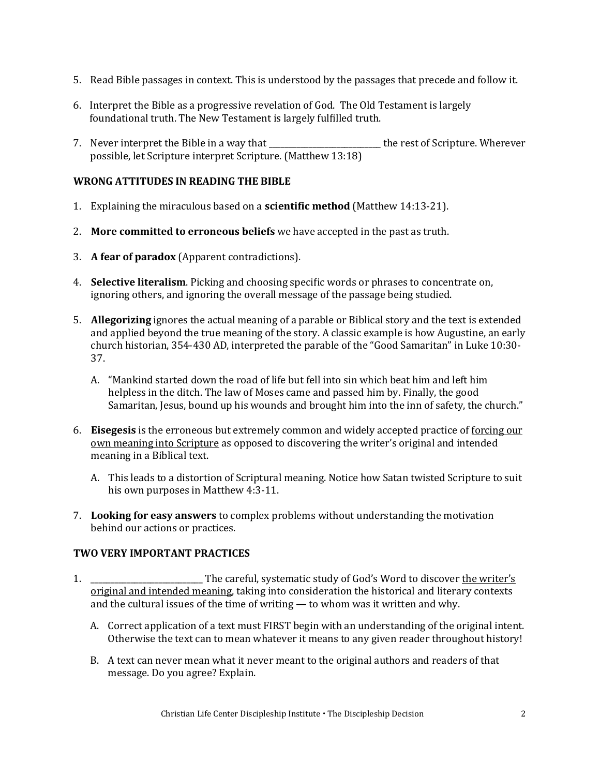- 5. Read Bible passages in context. This is understood by the passages that precede and follow it.
- 6. Interpret the Bible as a progressive revelation of God. The Old Testament is largely foundational truth. The New Testament is largely fulfilled truth.
- 7. Never interpret the Bible in a way that the state of Scripture. Wherever possible, let Scripture interpret Scripture. (Matthew 13:18)

### **WRONG ATTITUDES IN READING THE BIBLE**

- 1. Explaining the miraculous based on a **scientific method** (Matthew 14:13-21).
- 2. **More committed to erroneous beliefs** we have accepted in the past as truth.
- 3. **A fear of paradox** (Apparent contradictions).
- 4. **Selective literalism**. Picking and choosing specific words or phrases to concentrate on, ignoring others, and ignoring the overall message of the passage being studied.
- 5. **Allegorizing** ignores the actual meaning of a parable or Biblical story and the text is extended and applied beyond the true meaning of the story. A classic example is how Augustine, an early church historian, 354-430 AD, interpreted the parable of the "Good Samaritan" in Luke 10:30- 37.
	- A. "Mankind started down the road of life but fell into sin which beat him and left him helpless in the ditch. The law of Moses came and passed him by. Finally, the good Samaritan, Jesus, bound up his wounds and brought him into the inn of safety, the church."
- 6. **Eisegesis** is the erroneous but extremely common and widely accepted practice of forcing our own meaning into Scripture as opposed to discovering the writer's original and intended meaning in a Biblical text.
	- A. This leads to a distortion of Scriptural meaning. Notice how Satan twisted Scripture to suit his own purposes in Matthew 4:3-11.
- 7. **Looking for easy answers** to complex problems without understanding the motivation behind our actions or practices.

#### **TWO VERY IMPORTANT PRACTICES**

- 1. \_\_\_\_\_\_\_\_\_\_\_\_\_\_\_\_\_\_\_\_\_\_\_\_\_\_\_\_ The careful, systematic study of God's Word to discover the writer's original and intended meaning, taking into consideration the historical and literary contexts and the cultural issues of the time of writing — to whom was it written and why.
	- A. Correct application of a text must FIRST begin with an understanding of the original intent. Otherwise the text can to mean whatever it means to any given reader throughout history!
	- B. A text can never mean what it never meant to the original authors and readers of that message. Do you agree? Explain.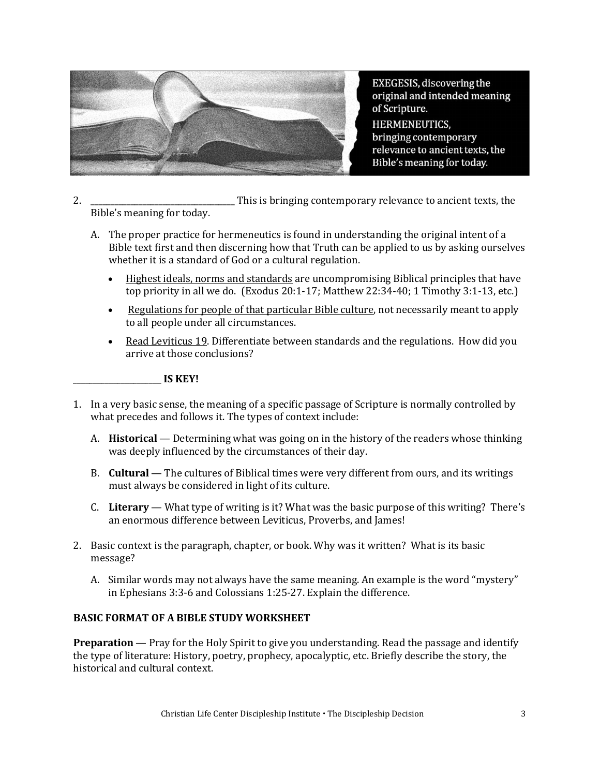

EXEGESIS, discovering the original and intended meaning of Scripture. **HERMENEUTICS,** bringing contemporary relevance to ancient texts, the Bible's meaning for today.

2. \_\_\_\_\_\_\_\_\_\_\_\_\_\_\_\_\_\_\_\_\_\_\_\_\_\_\_\_\_\_\_\_\_\_\_\_ This is bringing contemporary relevance to ancient texts, the Bible's meaning for today.

- A. The proper practice for hermeneutics is found in understanding the original intent of a Bible text first and then discerning how that Truth can be applied to us by asking ourselves whether it is a standard of God or a cultural regulation.
	- Highest ideals, norms and standards are uncompromising Biblical principles that have top priority in all we do. (Exodus 20:1-17; Matthew 22:34-40; 1 Timothy 3:1-13, etc.)
	- Regulations for people of that particular Bible culture, not necessarily meant to apply to all people under all circumstances.
	- Read Leviticus 19. Differentiate between standards and the regulations. How did you arrive at those conclusions?

#### \_\_\_\_\_\_\_\_\_\_\_\_\_\_\_\_\_\_\_\_\_\_ **IS KEY!**

- 1. In a very basic sense, the meaning of a specific passage of Scripture is normally controlled by what precedes and follows it. The types of context include:
	- A. **Historical**  Determining what was going on in the history of the readers whose thinking was deeply influenced by the circumstances of their day.
	- B. **Cultural**  The cultures of Biblical times were very different from ours, and its writings must always be considered in light of its culture.
	- C. **Literary**  What type of writing is it? What was the basic purpose of this writing? There's an enormous difference between Leviticus, Proverbs, and James!
- 2. Basic context is the paragraph, chapter, or book. Why was it written? What is its basic message?
	- A. Similar words may not always have the same meaning. An example is the word "mystery" in Ephesians 3:3-6 and Colossians 1:25-27. Explain the difference.

#### **BASIC FORMAT OF A BIBLE STUDY WORKSHEET**

**Preparation** — Pray for the Holy Spirit to give you understanding. Read the passage and identify the type of literature: History, poetry, prophecy, apocalyptic, etc. Briefly describe the story, the historical and cultural context.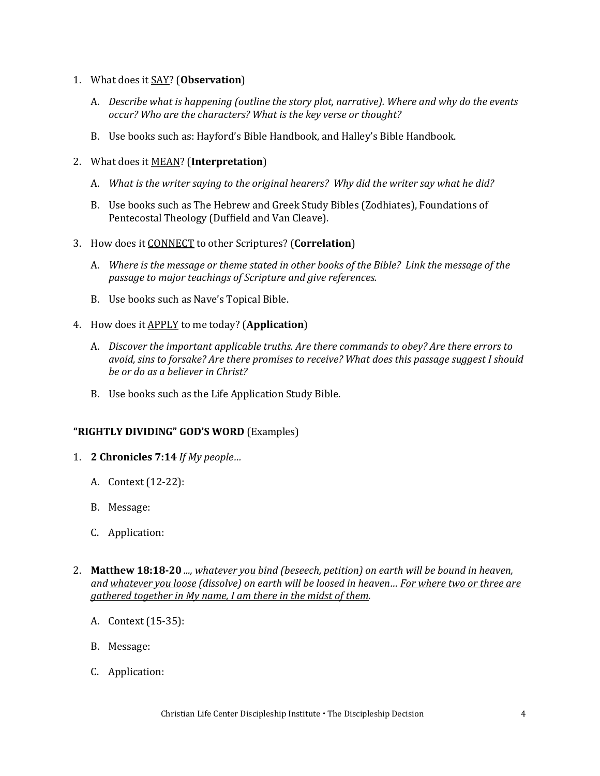- 1. What does it SAY? (**Observation**)
	- A. *Describe what is happening (outline the story plot, narrative). Where and why do the events occur? Who are the characters? What is the key verse or thought?*
	- B. Use books such as: Hayford's Bible Handbook, and Halley's Bible Handbook.
- 2. What does it MEAN? (**Interpretation**)
	- A. *What is the writer saying to the original hearers? Why did the writer say what he did?*
	- B. Use books such as The Hebrew and Greek Study Bibles (Zodhiates), Foundations of Pentecostal Theology (Duffield and Van Cleave).
- 3. How does it CONNECT to other Scriptures? (**Correlation**)
	- A. *Where is the message or theme stated in other books of the Bible? Link the message of the passage to major teachings of Scripture and give references.*
	- B. Use books such as Nave's Topical Bible.
- 4. How does it APPLY to me today? (**Application**)
	- A. *Discover the important applicable truths. Are there commands to obey? Are there errors to avoid, sins to forsake? Are there promises to receive? What does this passage suggest I should be or do as a believer in Christ?*
	- B. Use books such as the Life Application Study Bible.

#### **"RIGHTLY DIVIDING" GOD'S WORD** (Examples)

- 1. **2 Chronicles 7:14** *If My people…*
	- A. Context (12-22):
	- B. Message:
	- C. Application:
- 2. **Matthew 18:18-20** *..., whatever you bind (beseech, petition) on earth will be bound in heaven, and whatever you loose (dissolve) on earth will be loosed in heaven… For where two or three are gathered together in My name, I am there in the midst of them.*
	- A. Context (15-35):
	- B. Message:
	- C. Application: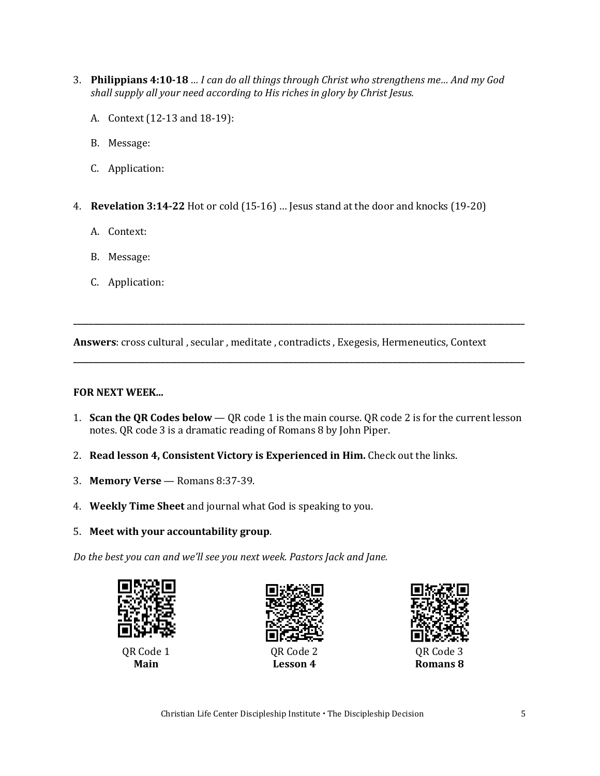- 3. **Philippians 4:10-18** *… I can do all things through Christ who strengthens me… And my God shall supply all your need according to His riches in glory by Christ Jesus.*
	- A. Context (12-13 and 18-19):
	- B. Message:
	- C. Application:
- 4. **Revelation 3:14-22** Hot or cold (15-16) … Jesus stand at the door and knocks (19-20)
	- A. Context:
	- B. Message:
	- C. Application:

**Answers**: cross cultural , secular , meditate , contradicts , Exegesis, Hermeneutics, Context

#### **FOR NEXT WEEK...**

1. **Scan the QR Codes below** — QR code 1 is the main course. QR code 2 is for the current lesson notes. QR code 3 is a dramatic reading of Romans 8 by John Piper.

**\_\_\_\_\_\_\_\_\_\_\_\_\_\_\_\_\_\_\_\_\_\_\_\_\_\_\_\_\_\_\_\_\_\_\_\_\_\_\_\_\_\_\_\_\_\_\_\_\_\_\_\_\_\_\_\_\_\_\_\_\_\_\_\_\_\_\_\_\_\_\_\_\_\_\_\_\_\_\_\_\_\_\_\_\_\_\_\_\_\_\_\_\_\_\_\_\_\_\_\_\_\_\_\_\_\_\_\_\_\_\_\_\_**

**\_\_\_\_\_\_\_\_\_\_\_\_\_\_\_\_\_\_\_\_\_\_\_\_\_\_\_\_\_\_\_\_\_\_\_\_\_\_\_\_\_\_\_\_\_\_\_\_\_\_\_\_\_\_\_\_\_\_\_\_\_\_\_\_\_\_\_\_\_\_\_\_\_\_\_\_\_\_\_\_\_\_\_\_\_\_\_\_\_\_\_\_\_\_\_\_\_\_\_\_\_\_\_\_\_\_\_\_\_\_\_\_\_**

- 2. **Read lesson 4, Consistent Victory is Experienced in Him.** Check out the links.
- 3. **Memory Verse** Romans 8:37-39.
- 4. **Weekly Time Sheet** and journal what God is speaking to you.
- 5. **Meet with your accountability group**.

*Do the best you can and we'll see you next week. Pastors Jack and Jane.*



**Main**



QR Code 2 **Lesson 4**



**Romans 8**